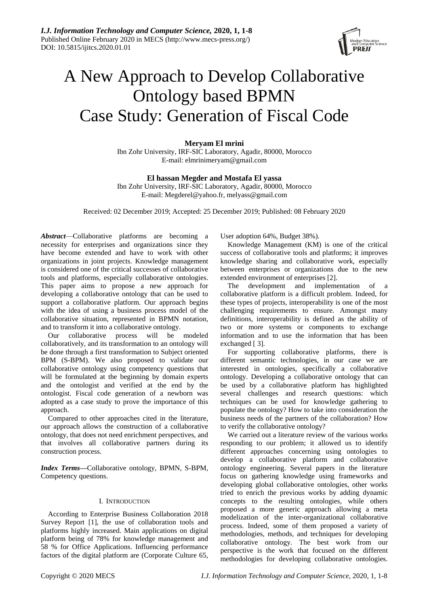

# A New Approach to Develop Collaborative Ontology based BPMN Case Study: Generation of Fiscal Code

**Meryam El mrini** Ibn Zohr University, IRF-SIC Laboratory, Agadir, 80000, Morocco E-mail: elmrinimeryam@gmail.com

**El hassan Megder and Mostafa El yassa**

Ibn Zohr University, IRF-SIC Laboratory, Agadir, 80000, Morocco E-mail: Megderel@yahoo.fr, melyass@gmail.com

Received: 02 December 2019; Accepted: 25 December 2019; Published: 08 February 2020

*Abstract*—Collaborative platforms are becoming a necessity for enterprises and organizations since they have become extended and have to work with other organizations in joint projects. Knowledge management is considered one of the critical successes of collaborative tools and platforms, especially collaborative ontologies. This paper aims to propose a new approach for developing a collaborative ontology that can be used to support a collaborative platform. Our approach begins with the idea of using a business process model of the collaborative situation, represented in BPMN notation, and to transform it into a collaborative ontology.

Our collaborative process will be modeled collaboratively, and its transformation to an ontology will be done through a first transformation to Subject oriented BPM (S-BPM). We also proposed to validate our collaborative ontology using competency questions that will be formulated at the beginning by domain experts and the ontologist and verified at the end by the ontologist. Fiscal code generation of a newborn was adopted as a case study to prove the importance of this approach.

Compared to other approaches cited in the literature, our approach allows the construction of a collaborative ontology, that does not need enrichment perspectives, and that involves all collaborative partners during its construction process.

*Index Terms***—**Collaborative ontology, BPMN, S-BPM, Competency questions.

# I. INTRODUCTION

According to Enterprise Business Collaboration 2018 Survey Report [1], the use of collaboration tools and platforms highly increased. Main applications on digital platform being of 78% for knowledge management and 58 % for Office Applications. Influencing performance factors of the digital platform are (Corporate Culture 65,

User adoption 64%, Budget 38%).

Knowledge Management (KM) is one of the critical success of collaborative tools and platforms; it improves knowledge sharing and collaborative work, especially between enterprises or organizations due to the new extended environment of enterprises [2].

The development and implementation of a collaborative platform is a difficult problem. Indeed, for these types of projects, interoperability is one of the most challenging requirements to ensure. Amongst many definitions, interoperability is defined as the ability of two or more systems or components to exchange information and to use the information that has been exchanged [ 3].

For supporting collaborative platforms, there is different semantic technologies, in our case we are interested in ontologies, specifically a collaborative ontology. Developing a collaborative ontology that can be used by a collaborative platform has highlighted several challenges and research questions: which techniques can be used for knowledge gathering to populate the ontology? How to take into consideration the business needs of the partners of the collaboration? How to verify the collaborative ontology?

We carried out a literature review of the various works responding to our problem; it allowed us to identify different approaches concerning using ontologies to develop a collaborative platform and collaborative ontology engineering. Several papers in the literature focus on gathering knowledge using frameworks and developing global collaborative ontologies, other works tried to enrich the previous works by adding dynamic concepts to the resulting ontologies, while others proposed a more generic approach allowing a meta modelization of the inter-organizational collaborative process. Indeed, some of them proposed a variety of methodologies, methods, and techniques for developing collaborative ontology. The best work from our perspective is the work that focused on the different methodologies for developing collaborative ontologies.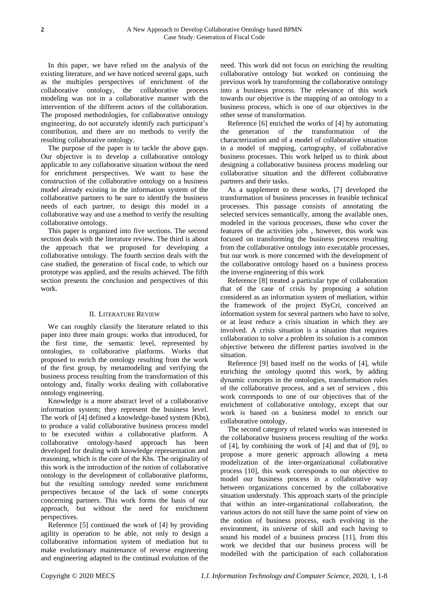In this paper, we have relied on the analysis of the existing literature, and we have noticed several gaps, such as the multiples perspectives of enrichment of the collaborative ontology, the collaborative process modeling was not in a collaborative manner with the intervention of the different actors of the collaboration. The proposed methodologies, for collaborative ontology engineering, do not accurately identify each participant's contribution, and there are no methods to verify the resulting collaborative ontology.

The purpose of the paper is to tackle the above gaps. Our objective is to develop a collaborative ontology applicable to any collaborative situation without the need for enrichment perspectives. We want to base the construction of the collaborative ontology on a business model already existing in the information system of the collaborative partners to be sure to identify the business needs of each partner, to design this model in a collaborative way and use a method to verify the resulting collaborative ontology.

This paper is organized into five sections. The second section deals with the literature review. The third is about the approach that we proposed for developing a collaborative ontology. The fourth section deals with the case studied, the generation of fiscal code, to which our prototype was applied, and the results achieved. The fifth section presents the conclusion and perspectives of this work.

# II. LITERATURE REVIEW

We can roughly classify the literature related to this paper into three main groups: works that introduced, for the first time, the semantic level, represented by ontologies, to collaborative platforms. Works that proposed to enrich the ontology resulting from the work of the first group, by metamodeling and verifying the business process resulting from the transformation of this ontology and, finally works dealing with collaborative ontology engineering.

Knowledge is a more abstract level of a collaborative information system; they represent the business level. The work of [4] defined a knowledge-based system (Kbs), to produce a valid collaborative business process model to be executed within a collaborative platform. A collaborative ontology-based approach has been developed for dealing with knowledge representation and reasoning, which is the core of the Kbs. The originality of this work is the introduction of the notion of collaborative ontology in the development of collaborative platforms, but the resulting ontology needed some enrichment perspectives because of the lack of some concepts concerning partners. This work forms the basis of our approach, but without the need for enrichment perspectives.

Reference [5] continued the work of [4] by providing agility in operation to be able, not only to design a collaborative information system of mediation but to make evolutionary maintenance of reverse engineering and engineering adapted to the continual evolution of the

need. This work did not focus on enriching the resulting collaborative ontology but worked on continuing the previous work by transforming the collaborative ontology into a business process. The relevance of this work towards our objective is the mapping of an ontology to a business process, which is one of our objectives in the other sense of transformation.

Reference [6] enriched the works of [4] by automating the generation of the transformation of the characterization and of a model of collaborative situation in a model of mapping, cartography, of collaborative business processes. This work helped us to think about designing a collaborative business process modeling our collaborative situation and the different collaborative partners and their tasks.

As a supplement to these works, [7] developed the transformation of business processes in feasible technical processes. This passage consists of annotating the selected services semantically, among the available ones, modeled in the various processes, those who cover the features of the activities jobs , however, this work was focused on transforming the business process resulting from the collaborative ontology into executable processes, but our work is more concerned with the development of the collaborative ontology based on a business process the inverse engineering of this work

Reference [8] treated a particular type of collaboration that of the case of crisis by proposing a solution considered as an information system of mediation, within the framework of the project ISyCri, conceived an information system for several partners who have to solve, or at least reduce a crisis situation in which they are involved. A crisis situation is a situation that requires collaboration to solve a problem its solution is a common objective between the different parties involved in the situation.

Reference [9] based itself on the works of [4], while enriching the ontology quoted this work, by adding dynamic concepts in the ontologies, transformation rules of the collaborative process, and a set of services , this work corresponds to one of our objectives that of the enrichment of collaborative ontology, except that our work is based on a business model to enrich our collaborative ontology.

The second category of related works was interested in the collaborative business process resulting of the works of [4], by combining the work of [4] and that of [9], to propose a more generic approach allowing a meta modelization of the inter-organizational collaborative process [10], this work corresponds to our objective to model our business process in a collaborative way between organizations concerned by the collaborative situation understudy. This approach starts of the principle that within an inter-organizational collaboration, the various actors do not still have the same point of view on the notion of business process, each evolving in the environment, its universe of skill and each having to sound his model of a business process [11], from this work we decided that our business process will be modelled with the participation of each collaboration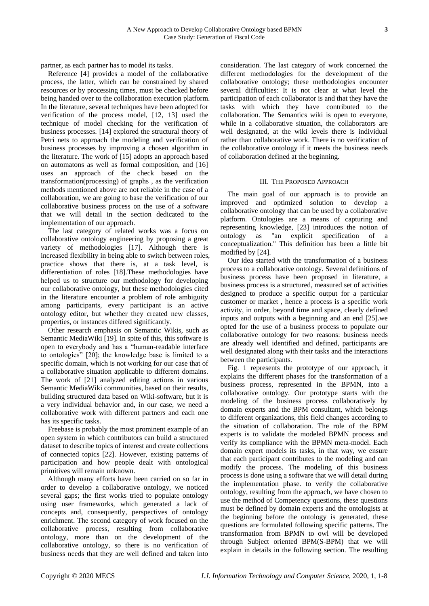partner, as each partner has to model its tasks.

Reference [4] provides a model of the collaborative process, the latter, which can be constrained by shared resources or by processing times, must be checked before being handed over to the collaboration execution platform. In the literature, several techniques have been adopted for verification of the process model, [12, 13] used the technique of model checking for the verification of business processes. [14] explored the structural theory of Petri nets to approach the modeling and verification of business processes by improving a chosen algorithm in the literature. The work of [15] adopts an approach based on automatons as well as formal composition, and [16] uses an approach of the check based on the transformation(processing) of graphs , as the verification methods mentioned above are not reliable in the case of a collaboration, we are going to base the verification of our collaborative business process on the use of a software that we will detail in the section dedicated to the implementation of our approach.

The last category of related works was a focus on collaborative ontology engineering by proposing a great variety of methodologies [17]. Although there is increased flexibility in being able to switch between roles, practice shows that there is, at a task level, is differentiation of roles [18].These methodologies have helped us to structure our methodology for developing our collaborative ontology, but these methodologies cited in the literature encounter a problem of role ambiguity among participants, every participant is an active ontology editor, but whether they created new classes, properties, or instances differed significantly.

Other research [emphasis](https://www.powerthesaurus.org/emphasis/synonyms) on Semantic Wikis, such as Semantic MediaWiki [19]. In spite of this, this software is open to everybody and has a "human-readable interface to ontologies" [20]; the knowledge base is limited to a specific domain, which is not working for our case that of a collaborative situation applicable to different domains. The work of [21] analyzed editing actions in various Semantic MediaWiki communities, based on their results, building structured data based on Wiki-software, but it is a very individual behavior and, in our case, we need a collaborative work with different partners and each one has its specific tasks.

Freebase is probably the most prominent example of an open system in which contributors can build a structured dataset to describe topics of interest and create collections of connected topics [22]. However, existing patterns of participation and how people dealt with ontological primitives will remain unknown.

Although many efforts have been carried on so far in order to develop a collaborative ontology, we noticed several gaps; the first works tried to populate ontology using user frameworks, which generated a lack of concepts and, consequently, perspectives of ontology enrichment. The second category of work focused on the collaborative process, resulting from collaborative ontology, more than on the development of the collaborative ontology, so there is no verification of business needs that they are well defined and taken into

consideration. The last category of work concerned the different methodologies for the development of the collaborative ontology; these methodologies encounter several difficulties: It is not clear at what level the participation of each collaborator is and that they have the tasks with which they have contributed to the collaboration. The Semantics wiki is open to everyone, while in a collaborative situation, the collaborators are well designated, at the wiki levels there is individual rather than collaborative work. There is no verification of the collaborative ontology if it meets the business needs of collaboration defined at the beginning.

## III. THE PROPOSED APPROACH

The main goal of our approach is to provide an improved and optimized solution to develop a collaborative ontology that can be used by a collaborative platform. Ontologies are a means of capturing and representing knowledge, [23] introduces the notion of ontology as "an explicit specification of a conceptualization." This definition has been a little bit modified by [24].

Our idea started with the transformation of a business process to a collaborative ontology. Several definitions of business process have been proposed in literature, a business process is a structured, measured set of activities designed to produce a specific output for a particular customer or market , hence a process is a specific work activity, in order, beyond time and space, clearly defined inputs and outputs with a beginning and an end [25].we opted for the use of a business process to populate our collaborative ontology for two reasons: business needs are already well identified and defined, participants are well designated along with their tasks and the interactions between the participants.

Fig. 1 represents the prototype of our approach, it explains the different phases for the transformation of a business process, represented in the BPMN, into a collaborative ontology. Our prototype starts with the modeling of the business process collaboratively by domain experts and the BPM consultant, which belongs to different organizations, this field changes according to the situation of collaboration. The role of the BPM experts is to validate the modeled BPMN process and verify its compliance with the BPMN meta-model. Each domain expert models its tasks, in that way, we ensure that each participant contributes to the modeling and can modify the process. The modeling of this business process is done using a software that we will detail during the implementation phase. to verify the collaborative ontology, resulting from the approach, we have chosen to use the method of Competency questions, these questions must be defined by domain experts and the ontologists at the beginning before the ontology is generated, these questions are formulated following specific patterns. The transformation from BPMN to owl will be developed through Subject oriented BPM(S-BPM) that we will explain in details in the following section. The resulting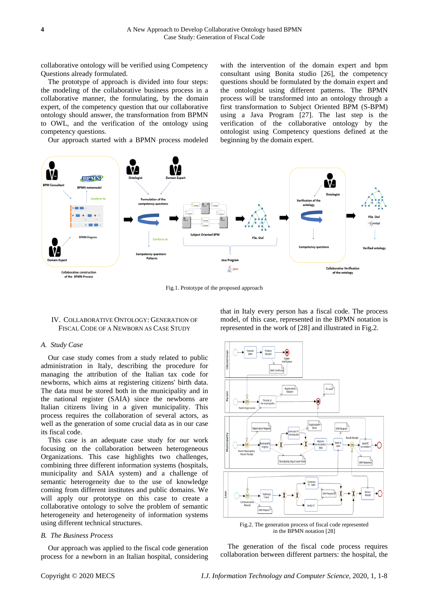collaborative ontology will be verified using Competency Questions already formulated.

The prototype of approach is divided into four steps: the modeling of the collaborative business process in a collaborative manner, the formulating, by the domain expert, of the competency question that our collaborative ontology should answer, the transformation from BPMN to OWL, and the verification of the ontology using competency questions.

Our approach started with a BPMN process modeled

with the intervention of the domain expert and bpm consultant using Bonita studio [26], the competency questions should be formulated by the domain expert and the ontologist using different patterns. The BPMN process will be transformed into an ontology through a first transformation to Subject Oriented BPM (S-BPM) using a Java Program [27]. The last step is the verification of the collaborative ontology by the ontologist using Competency questions defined at the beginning by the domain expert.



Fig.1. Prototype of the proposed approach

## IV. COLLABORATIVE ONTOLOGY: GENERATION OF FISCAL CODE OF A NEWBORN AS CASE STUDY

#### *A. Study Case*

Our case study comes from a study related to public administration in Italy, describing the procedure for managing the attribution of the Italian tax code for newborns, which aims at registering citizens' birth data. The data must be stored both in the municipality and in the national register (SAIA) since the newborns are Italian citizens living in a given municipality. This process requires the collaboration of several actors, as well as the generation of some crucial data as in our case its fiscal code.

This case is an adequate case study for our work focusing on the collaboration between heterogeneous Organizations. This case highlights two challenges, combining three different information systems (hospitals, municipality and SAIA system) and a challenge of semantic heterogeneity due to the use of knowledge coming from different institutes and public domains. We will apply our prototype on this case to create a collaborative ontology to solve the problem of semantic heterogeneity and heterogeneity of information systems using different technical structures.

#### *B. The Business Process*

Our approach was applied to the fiscal code generation process for a newborn in an Italian hospital, considering

that in Italy every person has a fiscal code. The process model, of this case, represented in the BPMN notation is represented in the work of [28] and illustrated in Fig.2.



Fig.2. The generation process of fiscal code represented in the BPMN notation [28]

The generation of the fiscal code process requires collaboration between different partners: the hospital, the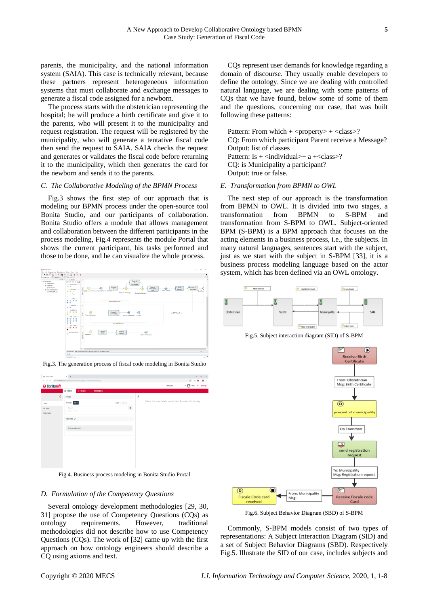parents, the municipality, and the national information system (SAIA). This case is technically relevant, because these partners represent heterogeneous information systems that must collaborate and exchange messages to generate a fiscal code assigned for a newborn.

The process starts with the obstetrician representing the hospital; he will produce a birth certificate and give it to the parents, who will present it to the municipality and request registration. The request will be registered by the municipality, who will generate a tentative fiscal code then send the request to SAIA. SAIA checks the request and generates or validates the fiscal code before returning it to the municipality, which then generates the card for the newborn and sends it to the parents.

## *C. The Collaborative Modeling of the BPMN Process*

Fig.3 shows the first step of our approach that is modeling our BPMN process under the open-source tool Bonita Studio, and our participants of collaboration. Bonita Studio offers a module that allows management and collaboration between the different participants in the process modeling, Fig.4 represents the module Portal that shows the current participant, his tasks performed and those to be done, and he can visualize the whole process.



 $\times$  + **G** Bonis Por  $C = 0$  lot  $\overline{\mathbf{e}}$  or  $\overline{\mathbf{e}}$ **G** Bonitasoft

Fig.3. The generation process of fiscal code modeling in Bonita Studio

Fig.4. Business process modeling in Bonita Studio Portal

## *D. Formulation of the Competency Questions*

Several ontology development methodologies [29, 30, 31] propose the use of Competency Questions (CQs) as ontology requirements. However, traditional methodologies did not describe how to use Competency Questions (CQs). The work of [32] came up with the first approach on how ontology engineers should describe a CQ using axioms and text.

CQs represent user demands for knowledge regarding a domain of discourse. They usually enable developers to define the ontology. Since we are dealing with controlled natural language, we are dealing with some patterns of CQs that we have found, below some of some of them and the questions, concerning our case, that was built following these patterns:

Pattern: From which  $+$  <property>  $+$  <class>? CQ: From which participant Parent receive a Message? Output: list of classes Pattern: Is  $+$  <individual> $+$  a  $+$  <class>? CQ: is Municipality a participant? Output: true or false.

#### *E. Transformation from BPMN to OWL*

The next step of our approach is the transformation from BPMN to OWL. It is divided into two stages, a transformation from BPMN to S-BPM and transformation from S-BPM to OWL. Subject-oriented BPM (S-BPM) is a BPM approach that focuses on the acting elements in a business process, i.e., the subjects. In many natural languages, sentences start with the subject, just as we start with the subject in S-BPM [33], it is a business process modeling language based on the actor system, which has been defined via an OWL ontology.



Fig.5. Subject interaction diagram (SID) of S-BPM



Fig.6. Subject Behavior Diagram (SBD) of S-BPM

Commonly, S-BPM models consist of two types of representations: A Subject Interaction Diagram (SID) and a set of Subject Behavior Diagrams (SBD). Respectively Fig.5. Illustrate the SID of our case, includes subjects and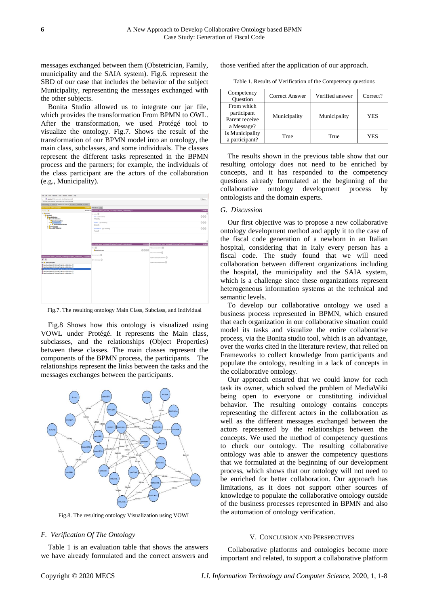messages exchanged between them (Obstetrician, Family, municipality and the SAIA system). Fig.6. represent the SBD of our case that includes the behavior of the subject Municipality, representing the messages exchanged with the other subjects.

Bonita Studio allowed us to integrate our jar file, which provides the transformation From BPMN to OWL. After the transformation, we used Protégé tool to visualize the ontology. Fig.7. Shows the result of the transformation of our BPMN model into an ontology, the main class, subclasses, and some individuals. The classes represent the different tasks represented in the BPMN process and the partners; for example, the individuals of the class participant are the actors of the collaboration (e.g., Municipality).



Fig.7. The resulting ontology Main Class, Subclass, and Individual

Fig.8 Shows how this ontology is visualized using VOWL under Protégé. It represents the Main class, subclasses, and the relationships (Object Properties) between these classes. The main classes represent the components of the BPMN process, the participants. The relationships represent the links between the tasks and the messages exchanges between the participants.



Fig.8. The resulting ontology Visualization using VOWL

## *F. Verification Of The Ontology*

Table 1 is an evaluation table that shows the answers we have already formulated and the correct answers and those verified after the application of our approach.

Table 1. Results of Verification of the Competency questions

| Competency<br><b>Ouestion</b>                             | Correct Answer | Verified answer | Correct?   |
|-----------------------------------------------------------|----------------|-----------------|------------|
| From which<br>participant<br>Parent receive<br>a Message? | Municipality   | Municipality    | <b>YES</b> |
| Is Municipality<br>a participant?                         | True           | True            | YES        |

The results shown in the previous table show that our resulting ontology does not need to be enriched by concepts, and it has responded to the competency questions already formulated at the beginning of the collaborative ontology development process by ontologists and the domain experts.

### *G. Discussion*

Our first objective was to propose a new collaborative ontology development method and apply it to the case of the fiscal code generation of a newborn in an Italian hospital, considering that in Italy every person has a fiscal code. The study found that we will need collaboration between different organizations including the hospital, the municipality and the SAIA system, which is a challenge since these organizations represent heterogeneous information systems at the technical and semantic levels.

To develop our collaborative ontology we used a business process represented in BPMN, which ensured that each organization in our collaborative situation could model its tasks and visualize the entire collaborative process, via the Bonita studio tool, which is an advantage, over the works cited in the literature review, that relied on Frameworks to collect knowledge from participants and populate the ontology, resulting in a lack of concepts in the collaborative ontology.

Our approach ensured that we could know for each task its owner, which solved the problem of MediaWiki being open to everyone or constituting individual behavior. The resulting ontology contains concepts representing the different actors in the collaboration as well as the different messages exchanged between the actors represented by the relationships between the concepts. We used the method of competency questions to check our ontology. The resulting collaborative ontology was able to answer the competency questions that we formulated at the beginning of our development process, which shows that our ontology will not need to be enriched for better collaboration. Our approach has limitations, as it does not support other sources of knowledge to populate the collaborative ontology outside of the business processes represented in BPMN and also the automation of ontology verification.

#### V. CONCLUSION AND PERSPECTIVES

Collaborative platforms and ontologies become more important and related, to support a collaborative platform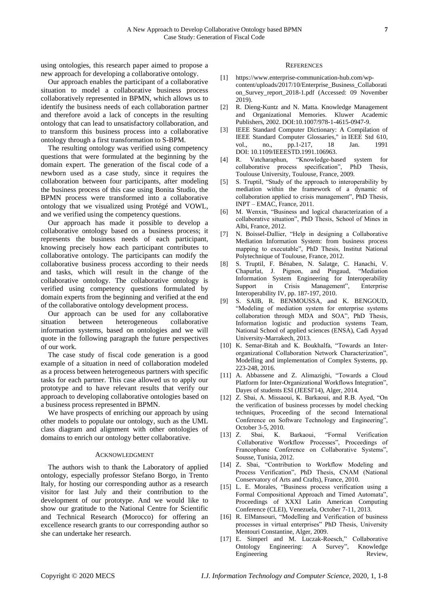using ontologies, this research paper aimed to propose a new approach for developing a collaborative ontology.

Our approach enables the participant of a collaborative situation to model a collaborative business process collaboratively represented in BPMN, which allows us to identify the business needs of each collaboration partner and therefore avoid a lack of concepts in the resulting ontology that can lead to unsatisfactory collaboration, and to transform this business process into a collaborative ontology through a first transformation to S-BPM.

The resulting ontology was verified using competency questions that were formulated at the beginning by the domain expert. The generation of the fiscal code of a newborn used as a case study, since it requires the collaboration between four participants, after modeling the business process of this case using Bonita Studio, the BPMN process were transformed into a collaborative ontology that we visualized using Protégé and VOWL, and we verified using the competency questions.

Our approach has made it possible to develop a collaborative ontology based on a business process; it represents the business needs of each participant, knowing precisely how each participant contributes to collaborative ontology. The participants can modify the collaborative business process according to their needs and tasks, which will result in the change of the collaborative ontology. The collaborative ontology is verified using competency questions formulated by domain experts from the beginning and verified at the end of the collaborative ontology development process.

Our approach can be used for any collaborative situation between heterogeneous collaborative information systems, based on ontologies and we will quote in the following paragraph the future perspectives of our work.

The case study of fiscal code generation is a good example of a situation in need of collaboration modeled as a process between heterogeneous partners with specific tasks for each partner. This case allowed us to apply our prototype and to have relevant results that verify our approach to developing collaborative ontologies based on a business process represented in BPMN.

We have prospects of enriching our approach by using other models to populate our ontology, such as the UML class diagram and alignment with other ontologies of domains to enrich our ontology better collaborative.

#### ACKNOWLEDGMENT

The authors wish to thank the Laboratory of applied ontology, especially professor Stefano Borgo, in Trento Italy, for hosting our corresponding author as a research visitor for last July and their contribution to the development of our prototype. And we would like to show our gratitude to the National Centre for Scientific and Technical Research (Morocco) for offering an excellence research grants to our corresponding author so she can undertake her research.

#### **REFERENCES**

- [1] https://www.enterprise-communication-hub.com/wpcontent/uploads/2017/10/Enterprise\_Business\_Collaborati on Survey report 2018-1.pdf (Accessed: 09 November 2019).
- [2] R. Dieng-Kuntz and N. Matta. Knowledge Management and Organizational Memories. Kluwer Academic Publishers, 2002. DOI[:10.1007/978-1-4615-0947-9.](https://doi.org/10.1007/978-1-4615-0947-9)
- [3] IEEE Standard Computer Dictionary: A Compilation of IEEE Standard Computer Glossaries," in IEEE Std 610, vol., no., pp.1-217, 18 Jan. 1991 DOI: 10.1109/IEEESTD.1991.106963.
- [4] R. Vatcharaphun, "Knowledge-based system for collaborative process specification", PhD Thesis, Toulouse University, Toulouse, France, 2009.
- [5] S. Truptil, "Study of the approach to interoperability by mediation within the framework of a dynamic of collaboration applied to crisis management", PhD Thesis, INPT – EMAC, France, 2011.
- [6] M. Wenxin, "Business and logical characterization of a collaborative situation", PhD Thesis, School of Mines in Albi, France, 2012.
- [7] N. Boissel-Dallier, "Help in designing a Collaborative Mediation Information System: from business process mapping to executable", PhD Thesis, Institut National Polytechnique of Toulouse, France, 2012.
- [8] S. Truptil, F. Bénaben, N. Salatge, C. Hanachi, V. Chapurlat, J. Pignon, and Pingaud, "Mediation Information System Engineering for Interoperability Support in Crisis Management", Enterprise Interoperability IV, pp. 187-197, 2010.
- [9] S. SAIB, R. BENMOUSSA, and K. BENGOUD, "Modeling of mediation system for enterprise systems collaboration through MDA and SOA", PhD Thesis, Information logistic and production systems Team, National School of applied sciences (ENSA), Cadi Ayyad University-Marrakech, 2013.
- [10] K. Semar-Bitah and K. Boukhalfa, "Towards an Interorganizational Collaboration Network Characterization", Modelling and implementation of Complex Systems, pp. 223-248, 2016.
- [11] A. Abbassene and Z. Alimazighi, "Towards a Cloud Platform for Inter-Organizational Workflows Integration", Dayes of students ESI (JEESI'14), Alger, 2014.
- [12] Z. Sbai, A. Missaoui, K. Barkaoui, and R.B. Ayed, "On the verification of business processes by model checking techniques, Proceeding of the second International Conference on Software Technology and Engineering", October 3-5, 2010.
- [13] Z. Sbai, K. Barkaoui, "Formal Verification Collaborative Workflow Processes", Proceedings of Francophone Conference on Collaborative Systems", Sousse, Tunisia, 2012.
- [14] Z. Sbai, "Contribution to Workflow Modeling and Process Verification", PhD Thesis, CNAM (National Conservatory of Arts and Crafts), France, 2010.
- [15] L. E. Morales, "Business process verification using a Formal Compositional Approach and Timed Automata", Proceedings of XXXI Latin American Computing Conference (CLEI), Venezuela, October 7-11, 2013.
- [16] R. ElMansouri, "Modelling and Verification of business processes in virtual enterprises" PhD Thesis, University Mentouri Constantine, Alger, 2009.
- [17] E. Simperl and M. Luczak-Roesch," Collaborative Ontology Engineering: A Survey", Knowledge Engineering Review,